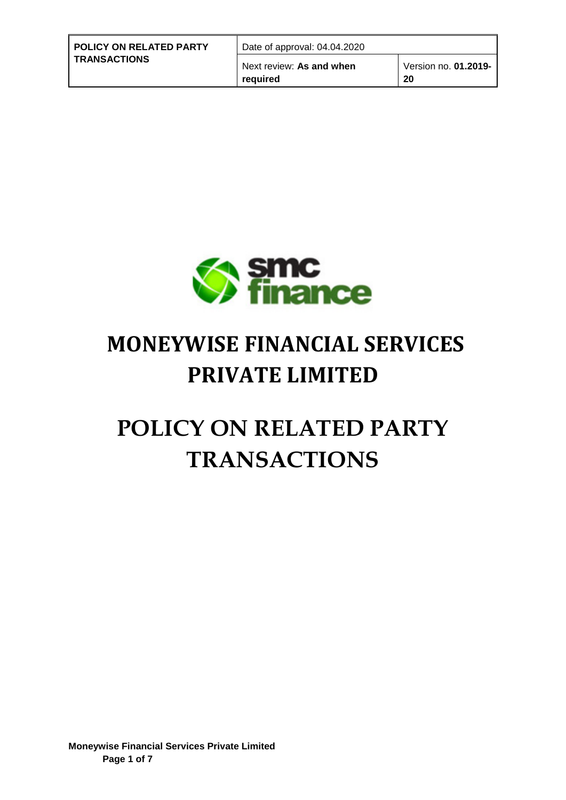| <b>POLICY ON RELATED PARTY</b> | Date of approval: 04.04.2020         |                            |
|--------------------------------|--------------------------------------|----------------------------|
| <b>TRANSACTIONS</b>            | Next review: As and when<br>reauired | Version no. 01.2019-<br>20 |



## **MONEYWISE FINANCIAL SERVICES PRIVATE LIMITED**

# **POLICY ON RELATED PARTY TRANSACTIONS**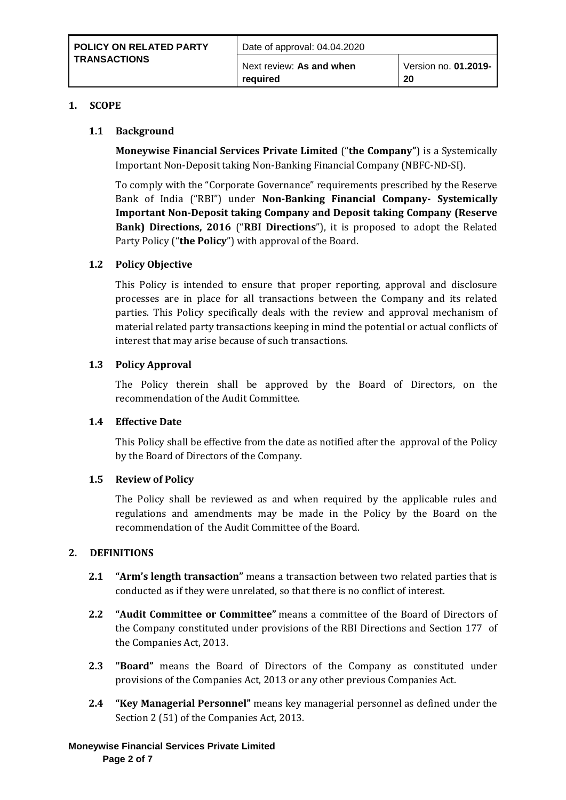#### **1. SCOPE**

#### **1.1 Background**

**Moneywise Financial Services Private Limited** ("**the Company"**) is a Systemically Important Non-Deposit taking Non-Banking Financial Company (NBFC-ND-SI).

To comply with the "Corporate Governance" requirements prescribed by the Reserve Bank of India ("RBI") under **Non-Banking Financial Company- Systemically Important Non-Deposit taking Company and Deposit taking Company (Reserve Bank) Directions, 2016** ("**RBI Directions**"), it is proposed to adopt the Related Party Policy ("**the Policy**") with approval of the Board.

#### **1.2 Policy Objective**

This Policy is intended to ensure that proper reporting, approval and disclosure processes are in place for all transactions between the Company and its related parties. This Policy specifically deals with the review and approval mechanism of material related party transactions keeping in mind the potential or actual conflicts of interest that may arise because of such transactions.

#### **1.3 Policy Approval**

The Policy therein shall be approved by the Board of Directors, on the recommendation of the Audit Committee.

#### **1.4 Effective Date**

This Policy shall be effective from the date as notified after the approval of the Policy by the Board of Directors of the Company.

#### **1.5 Review of Policy**

The Policy shall be reviewed as and when required by the applicable rules and regulations and amendments may be made in the Policy by the Board on the recommendation of the Audit Committee of the Board.

#### **2. DEFINITIONS**

- **2.1 "Arm's length transaction"** means a transaction between two related parties that is conducted as if they were unrelated, so that there is no conflict of interest.
- **2.2 "Audit Committee or Committee"** means a committee of the Board of Directors of the Company constituted under provisions of the RBI Directions and Section 177 of the Companies Act, 2013.
- **2.3 "Board"** means the Board of Directors of the Company as constituted under provisions of the Companies Act, 2013 or any other previous Companies Act.
- **2.4 "Key Managerial Personnel"** means key managerial personnel as defined under the Section 2 (51) of the Companies Act, 2013.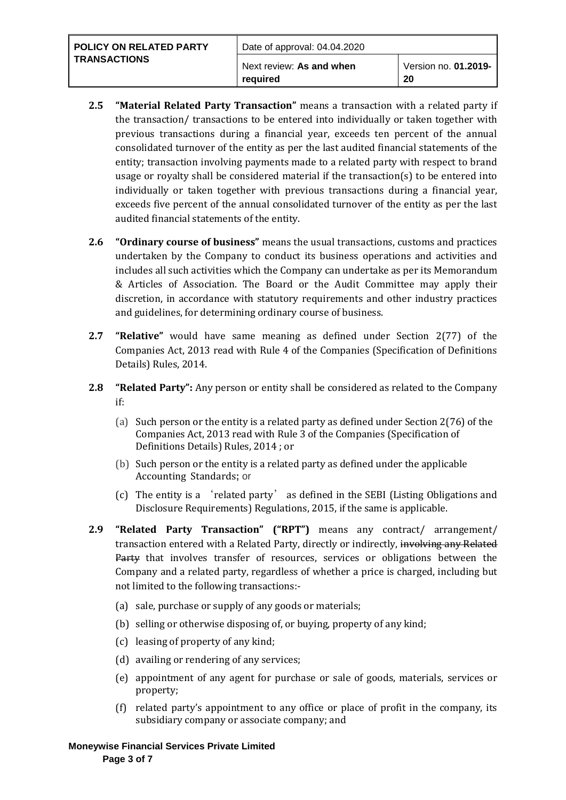| <b>POLICY ON RELATED PARTY</b><br><b>TRANSACTIONS</b> | Date of approval: 04.04.2020         |                            |
|-------------------------------------------------------|--------------------------------------|----------------------------|
|                                                       | Next review: As and when<br>reauired | Version no. 01.2019-<br>20 |

- **2.5 "Material Related Party Transaction"** means a transaction with a related party if the transaction/ transactions to be entered into individually or taken together with previous transactions during a financial year, exceeds ten percent of the annual consolidated turnover of the entity as per the last audited financial statements of the entity; transaction involving payments made to a related party with respect to brand usage or royalty shall be considered material if the transaction(s) to be entered into individually or taken together with previous transactions during a financial year, exceeds five percent of the annual consolidated turnover of the entity as per the last audited financial statements of the entity.
- **2.6 "Ordinary course of business"** means the usual transactions, customs and practices undertaken by the Company to conduct its business operations and activities and includes all such activities which the Company can undertake as per its Memorandum & Articles of Association. The Board or the Audit Committee may apply their discretion, in accordance with statutory requirements and other industry practices and guidelines, for determining ordinary course of business.
- **2.7 "Relative"** would have same meaning as defined under Section 2(77) of the Companies Act, 2013 read with Rule 4 of the Companies (Specification of Definitions Details) Rules, 2014.
- **2.8 "Related Party":** Any person or entity shall be considered as related to the Company if:
	- (a) Such person or the entity is a related party as defined under Section 2(76) of the Companies Act, 2013 read with Rule 3 of the Companies (Specification of Definitions Details) Rules, 2014 ; or
	- (b) Such person or the entity is a related party as defined under the applicable Accounting Standards**;** or
	- (c) The entity is a 'related party' as defined in the SEBI (Listing Obligations and Disclosure Requirements) Regulations, 2015, if the same is applicable.
- **2.9 "Related Party Transaction" ("RPT")** means any contract/ arrangement/ transaction entered with a Related Party, directly or indirectly, involving any Related Party that involves transfer of resources, services or obligations between the Company and a related party, regardless of whether a price is charged, including but not limited to the following transactions:-
	- (a) sale, purchase or supply of any goods or materials;
	- (b) selling or otherwise disposing of, or buying, property of any kind;
	- (c) leasing of property of any kind;
	- (d) availing or rendering of any services;
	- (e) appointment of any agent for purchase or sale of goods, materials, services or property;
	- (f) related party's appointment to any office or place of profit in the company, its subsidiary company or associate company; and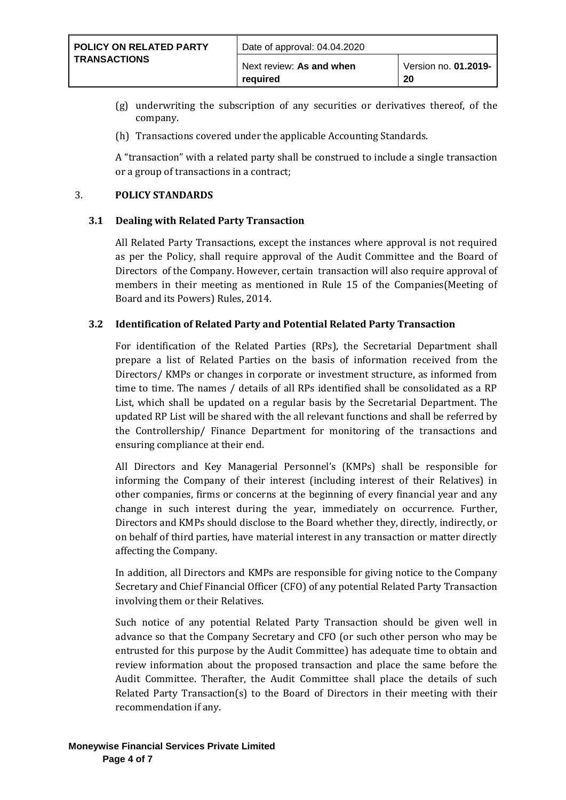- (g) underwriting the subscription of any securities or derivatives thereof, of the company.
- (h) Transactions covered under the applicable Accounting Standards.

A "transaction" with a related party shall be construed to include a single transaction or a group of transactions in a contract;

#### 3. **POLICY STANDARDS**

#### **3.1 Dealing with Related Party Transaction**

All Related Party Transactions, except the instances where approval is not required as per the Policy, shall require approval of the Audit Committee and the Board of Directors of the Company. However, certain transaction will also require approval of members in their meeting as mentioned in Rule 15 of the Companies(Meeting of Board and its Powers) Rules, 2014.

#### **3.2 Identification of Related Party and Potential Related Party Transaction**

For identification of the Related Parties (RPs), the Secretarial Department shall prepare a list of Related Parties on the basis of information received from the Directors/ KMPs or changes in corporate or investment structure, as informed from time to time. The names / details of all RPs identified shall be consolidated as a RP List, which shall be updated on a regular basis by the Secretarial Department. The updated RP List will be shared with the all relevant functions and shall be referred by the Controllership/ Finance Department for monitoring of the transactions and ensuring compliance at their end.

All Directors and Key Managerial Personnel's (KMPs) shall be responsible for informing the Company of their interest (including interest of their Relatives) in other companies, firms or concerns at the beginning of every financial year and any change in such interest during the year, immediately on occurrence. Further, Directors and KMPs should disclose to the Board whether they, directly, indirectly, or on behalf of third parties, have material interest in any transaction or matter directly affecting the Company.

In addition, all Directors and KMPs are responsible for giving notice to the Company Secretary and Chief Financial Officer (CFO) of any potential Related Party Transaction involving them or their Relatives.

Such notice of any potential Related Party Transaction should be given well in advance so that the Company Secretary and CFO (or such other person who may be entrusted for this purpose by the Audit Committee) has adequate time to obtain and review information about the proposed transaction and place the same before the Audit Committee. Therafter, the Audit Committee shall place the details of such Related Party Transaction(s) to the Board of Directors in their meeting with their recommendation if any.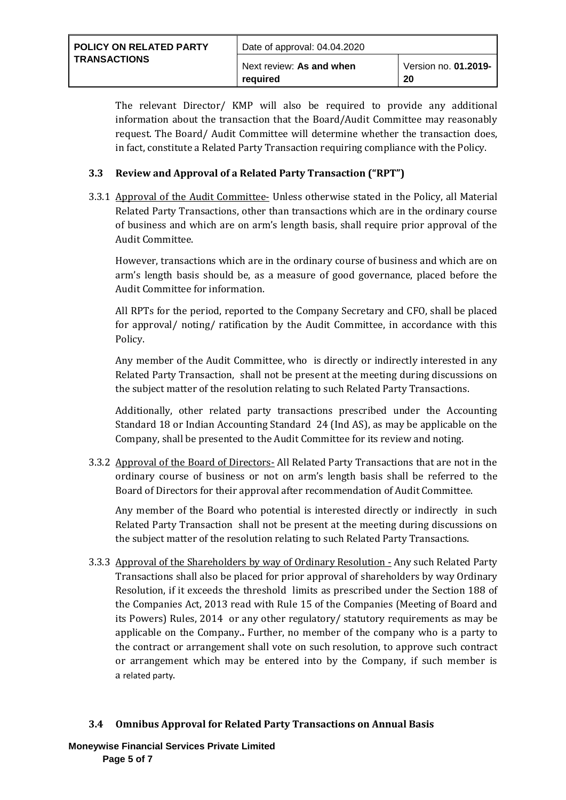| <b>POLICY ON RELATED PARTY</b> | Date of approval: 04.04.2020         |                            |
|--------------------------------|--------------------------------------|----------------------------|
| <b>TRANSACTIONS</b>            | Next review: As and when<br>reauired | Version no. 01.2019-<br>20 |

The relevant Director/ KMP will also be required to provide any additional information about the transaction that the Board/Audit Committee may reasonably request. The Board/ Audit Committee will determine whether the transaction does, in fact, constitute a Related Party Transaction requiring compliance with the Policy.

### **3.3 Review and Approval of a Related Party Transaction ("RPT")**

3.3.1 Approval of the Audit Committee- Unless otherwise stated in the Policy, all Material Related Party Transactions, other than transactions which are in the ordinary course of business and which are on arm's length basis, shall require prior approval of the Audit Committee.

However, transactions which are in the ordinary course of business and which are on arm's length basis should be, as a measure of good governance, placed before the Audit Committee for information.

All RPTs for the period, reported to the Company Secretary and CFO, shall be placed for approval/ noting/ ratification by the Audit Committee, in accordance with this Policy.

Any member of the Audit Committee, who is directly or indirectly interested in any Related Party Transaction, shall not be present at the meeting during discussions on the subject matter of the resolution relating to such Related Party Transactions.

Additionally, other related party transactions prescribed under the Accounting Standard 18 or Indian Accounting Standard 24 (Ind AS), as may be applicable on the Company, shall be presented to the Audit Committee for its review and noting.

3.3.2 Approval of the Board of Directors- All Related Party Transactions that are not in the ordinary course of business or not on arm's length basis shall be referred to the Board of Directors for their approval after recommendation of Audit Committee.

Any member of the Board who potential is interested directly or indirectly in such Related Party Transaction shall not be present at the meeting during discussions on the subject matter of the resolution relating to such Related Party Transactions.

3.3.3 Approval of the Shareholders by way of Ordinary Resolution - Any such Related Party Transactions shall also be placed for prior approval of shareholders by way Ordinary Resolution, if it exceeds the threshold limits as prescribed under the Section 188 of the Companies Act, 2013 read with Rule 15 of the Companies (Meeting of Board and its Powers) Rules, 2014 or any other regulatory/ statutory requirements as may be applicable on the Company.**.** Further, no member of the company who is a party to the contract or arrangement shall vote on such resolution, to approve such contract or arrangement which may be entered into by the Company, if such member is a [related party](http://ebook.mca.gov.in/notificationdetail.aspx?acturl=6CoJDC4uKVUR7C9Fl4rZdatyDbeJTqg3uaDT7Vp4Q49CMLrjLkTdQ3Pyokn1IG4M1v2eQsahUIhbgQpxm44GdQtcvtvroFBL).

## **3.4 Omnibus Approval for Related Party Transactions on Annual Basis**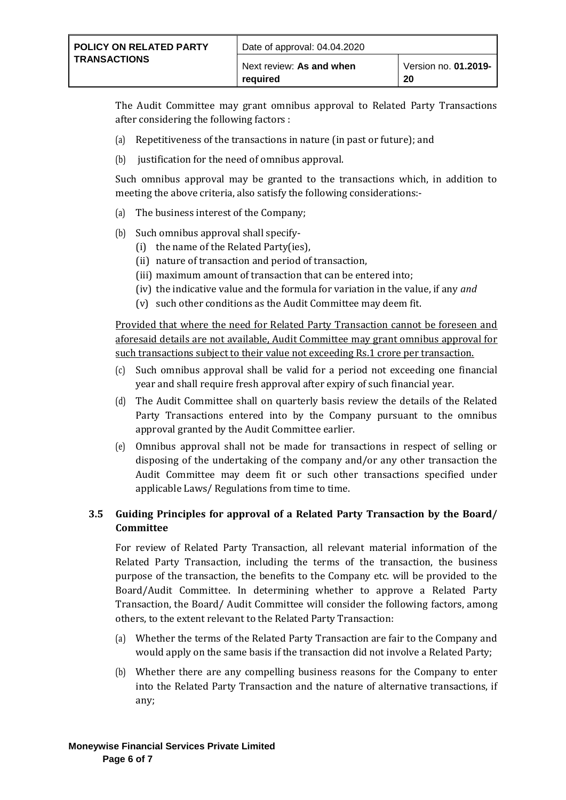The Audit Committee may grant omnibus approval to Related Party Transactions after considering the following factors :

- (a) Repetitiveness of the transactions in nature (in past or future); and
- (b) justification for the need of omnibus approval.

Such omnibus approval may be granted to the transactions which, in addition to meeting the above criteria, also satisfy the following considerations:-

- (a) The business interest of the Company;
- (b) Such omnibus approval shall specify-
	- (i) the name of the Related Party(ies),
	- (ii) nature of transaction and period of transaction,
	- (iii) maximum amount of transaction that can be entered into;
	- (iv) the indicative value and the formula for variation in the value, if any *and*
	- (v) such other conditions as the Audit Committee may deem fit.

Provided that where the need for Related Party Transaction cannot be foreseen and aforesaid details are not available, Audit Committee may grant omnibus approval for such transactions subject to their value not exceeding Rs.1 crore per transaction.

- (c) Such omnibus approval shall be valid for a period not exceeding one financial year and shall require fresh approval after expiry of such financial year.
- (d) The Audit Committee shall on quarterly basis review the details of the Related Party Transactions entered into by the Company pursuant to the omnibus approval granted by the Audit Committee earlier.
- (e) Omnibus approval shall not be made for transactions in respect of selling or disposing of the undertaking of the company and/or any other transaction the Audit Committee may deem fit or such other transactions specified under applicable Laws/ Regulations from time to time.

## **3.5 Guiding Principles for approval of a Related Party Transaction by the Board/ Committee**

For review of Related Party Transaction, all relevant material information of the Related Party Transaction, including the terms of the transaction, the business purpose of the transaction, the benefits to the Company etc. will be provided to the Board/Audit Committee. In determining whether to approve a Related Party Transaction, the Board/ Audit Committee will consider the following factors, among others, to the extent relevant to the Related Party Transaction:

- (a) Whether the terms of the Related Party Transaction are fair to the Company and would apply on the same basis if the transaction did not involve a Related Party;
- (b) Whether there are any compelling business reasons for the Company to enter into the Related Party Transaction and the nature of alternative transactions, if any;